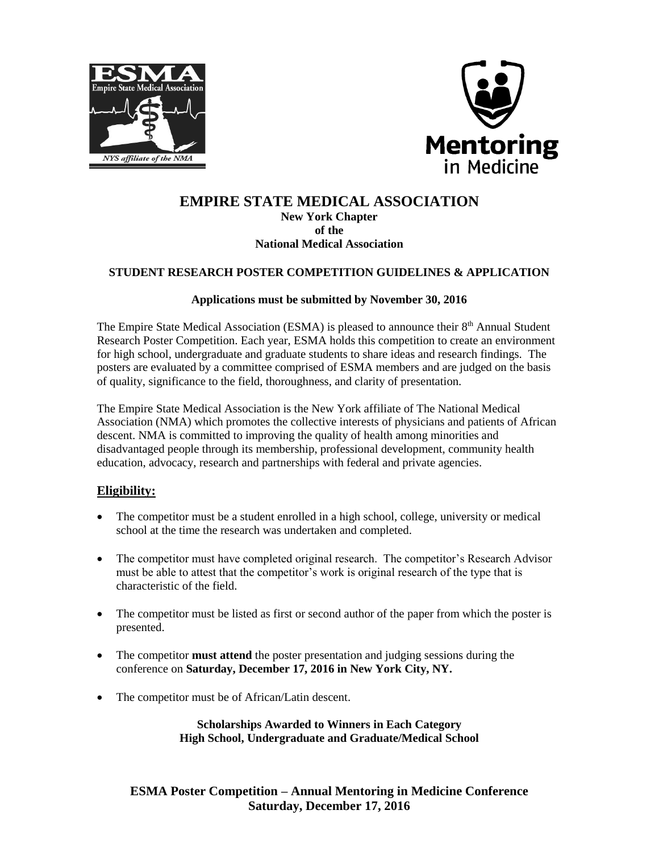



# **EMPIRE STATE MEDICAL ASSOCIATION New York Chapter of the**

### **National Medical Association**

### **STUDENT RESEARCH POSTER COMPETITION GUIDELINES & APPLICATION**

#### **Applications must be submitted by November 30, 2016**

The Empire State Medical Association (ESMA) is pleased to announce their 8<sup>th</sup> Annual Student Research Poster Competition. Each year, ESMA holds this competition to create an environment for high school, undergraduate and graduate students to share ideas and research findings. The posters are evaluated by a committee comprised of ESMA members and are judged on the basis of quality, significance to the field, thoroughness, and clarity of presentation.

The Empire State Medical Association is the New York affiliate of The National Medical Association (NMA) which promotes the collective interests of physicians and patients of African descent. NMA is committed to improving the quality of health among minorities and disadvantaged people through its membership, professional development, community health education, advocacy, research and partnerships with federal and private agencies.

### **Eligibility:**

- The competitor must be a student enrolled in a high school, college, university or medical school at the time the research was undertaken and completed.
- The competitor must have completed original research. The competitor's Research Advisor must be able to attest that the competitor's work is original research of the type that is characteristic of the field.
- The competitor must be listed as first or second author of the paper from which the poster is presented.
- The competitor **must attend** the poster presentation and judging sessions during the conference on **Saturday, December 17, 2016 in New York City, NY.**
- The competitor must be of African/Latin descent.

**Scholarships Awarded to Winners in Each Category High School, Undergraduate and Graduate/Medical School**

**ESMA Poster Competition – Annual Mentoring in Medicine Conference Saturday, December 17, 2016**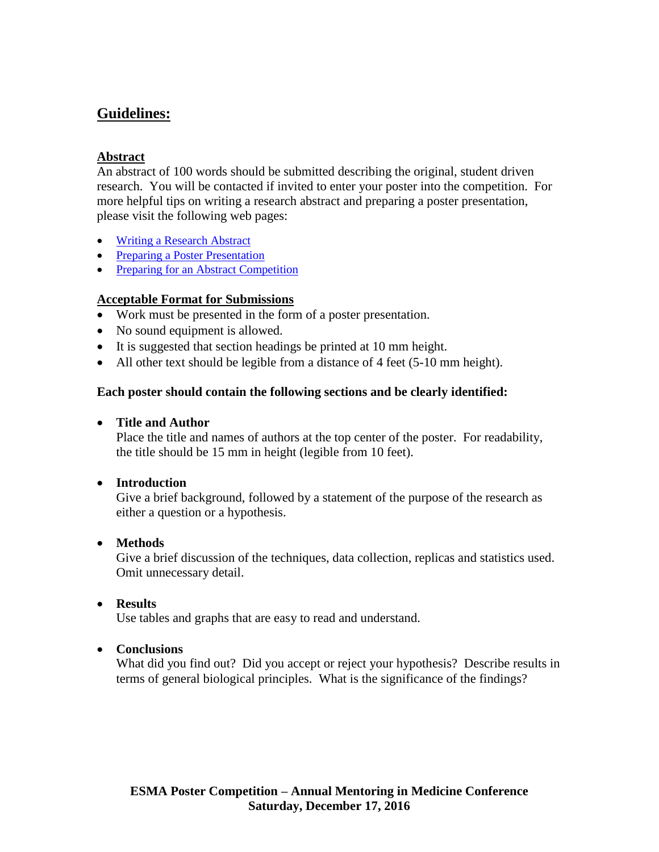# **Guidelines:**

# **Abstract**

An abstract of 100 words should be submitted describing the original, student driven research. You will be contacted if invited to enter your poster into the competition. For more helpful tips on writing a research abstract and preparing a poster presentation, please visit the following web pages:

- [Writing a Research Abstract](•%09https:/www.acponline.org/membership/residents/competitions-awards/abstracts/preparing/writing)
- [Preparing a Poster Presentation](•%09https:/www.acponline.org/membership/residents/competitions-awards/abstracts/preparing/poster)
- [Preparing for an Abstract Competition](https://www.acponline.org/membership/residents/competitions-awards/abstracts/preparing)

# **Acceptable Format for Submissions**

- Work must be presented in the form of a poster presentation.
- No sound equipment is allowed.
- It is suggested that section headings be printed at 10 mm height.
- All other text should be legible from a distance of 4 feet (5-10 mm height).

# **Each poster should contain the following sections and be clearly identified:**

# **Title and Author**

Place the title and names of authors at the top center of the poster. For readability, the title should be 15 mm in height (legible from 10 feet).

# **Introduction**

Give a brief background, followed by a statement of the purpose of the research as either a question or a hypothesis.

# **Methods**

Give a brief discussion of the techniques, data collection, replicas and statistics used. Omit unnecessary detail.

# **Results**

Use tables and graphs that are easy to read and understand.

# **Conclusions**

What did you find out? Did you accept or reject your hypothesis? Describe results in terms of general biological principles. What is the significance of the findings?